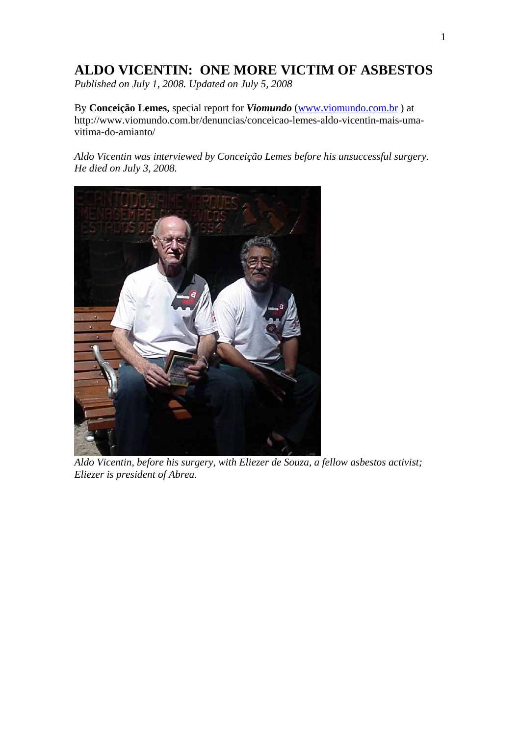# **ALDO VICENTIN: ONE MORE VICTIM OF ASBESTOS**

*Published on July 1, 2008. Updated on July 5, 2008* 

By **Conceição Lemes**, special report for *Viomundo* [\(www.viomundo.com.br](http://www.viomundo.com.br/) ) at http://www.viomundo.com.br/denuncias/conceicao-lemes-aldo-vicentin-mais-umavitima-do-amianto/

*Aldo Vicentin was interviewed by Conceição Lemes before his unsuccessful surgery. He died on July 3, 2008.* 



*Aldo Vicentin, before his surgery, with Eliezer de Souza, a fellow asbestos activist; Eliezer is president of Abrea.*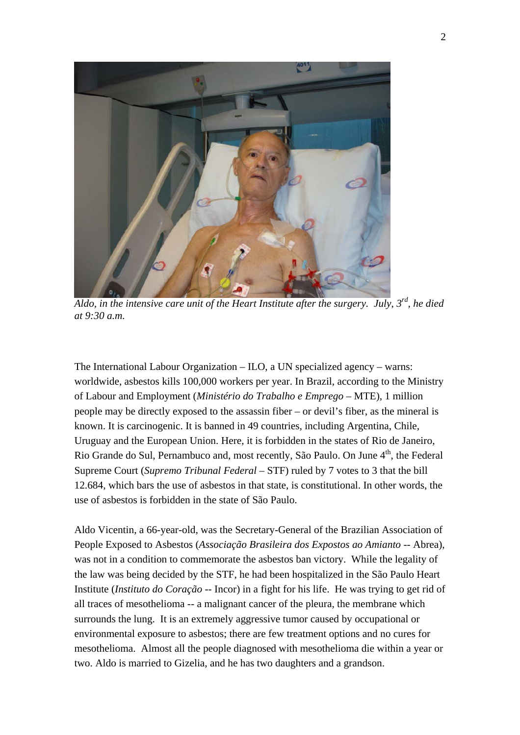

*Aldo, in the intensive care unit of the Heart Institute after the surgery. July, 3rd, he died at 9:30 a.m.* 

The International Labour Organization – ILO, a UN specialized agency – warns: worldwide, asbestos kills 100,000 workers per year. In Brazil, according to the Ministry of Labour and Employment (*Ministério do Trabalho e Emprego* – MTE), 1 million people may be directly exposed to the assassin fiber – or devil's fiber, as the mineral is known. It is carcinogenic. It is banned in 49 countries, including Argentina, Chile, Uruguay and the European Union. Here, it is forbidden in the states of Rio de Janeiro, Rio Grande do Sul, Pernambuco and, most recently, São Paulo. On June 4<sup>th</sup>, the Federal Supreme Court (*Supremo Tribunal Federal –* STF) ruled by 7 votes to 3 that the bill 12.684, which bars the use of asbestos in that state, is constitutional. In other words, the use of asbestos is forbidden in the state of São Paulo.

Aldo Vicentin, a 66-year-old, was the Secretary-General of the Brazilian Association of People Exposed to Asbestos (*Associação Brasileira dos Expostos ao Amianto* -- Abrea), was not in a condition to commemorate the asbestos ban victory. While the legality of the law was being decided by the STF, he had been hospitalized in the São Paulo Heart Institute (*Instituto do Coração* -- Incor) in a fight for his life. He was trying to get rid of all traces of mesothelioma -- a malignant cancer of the pleura, the membrane which surrounds the lung. It is an extremely aggressive tumor caused by occupational or environmental exposure to asbestos; there are few treatment options and no cures for mesothelioma. Almost all the people diagnosed with mesothelioma die within a year or two. Aldo is married to Gizelia, and he has two daughters and a grandson.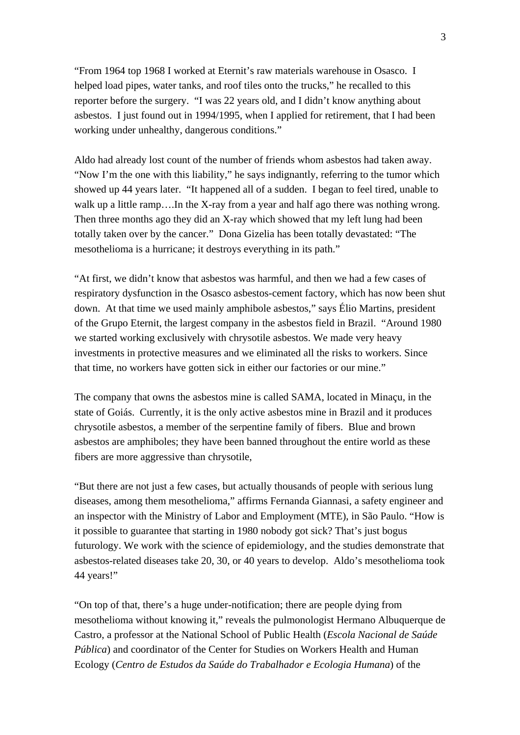"From 1964 top 1968 I worked at Eternit's raw materials warehouse in Osasco. I helped load pipes, water tanks, and roof tiles onto the trucks," he recalled to this reporter before the surgery. "I was 22 years old, and I didn't know anything about asbestos. I just found out in 1994/1995, when I applied for retirement, that I had been working under unhealthy, dangerous conditions."

Aldo had already lost count of the number of friends whom asbestos had taken away. "Now I'm the one with this liability," he says indignantly, referring to the tumor which showed up 44 years later. "It happened all of a sudden. I began to feel tired, unable to walk up a little ramp....In the X-ray from a year and half ago there was nothing wrong. Then three months ago they did an X-ray which showed that my left lung had been totally taken over by the cancer." Dona Gizelia has been totally devastated: "The mesothelioma is a hurricane; it destroys everything in its path."

"At first, we didn't know that asbestos was harmful, and then we had a few cases of respiratory dysfunction in the Osasco asbestos-cement factory, which has now been shut down. At that time we used mainly amphibole asbestos," says Élio Martins, president of the Grupo Eternit, the largest company in the asbestos field in Brazil. "Around 1980 we started working exclusively with chrysotile asbestos. We made very heavy investments in protective measures and we eliminated all the risks to workers. Since that time, no workers have gotten sick in either our factories or our mine."

The company that owns the asbestos mine is called SAMA, located in Minaçu, in the state of Goiás. Currently, it is the only active asbestos mine in Brazil and it produces chrysotile asbestos, a member of the serpentine family of fibers. Blue and brown asbestos are amphiboles; they have been banned throughout the entire world as these fibers are more aggressive than chrysotile,

"But there are not just a few cases, but actually thousands of people with serious lung diseases, among them mesothelioma," affirms Fernanda Giannasi, a safety engineer and an inspector with the Ministry of Labor and Employment (MTE), in São Paulo. "How is it possible to guarantee that starting in 1980 nobody got sick? That's just bogus futurology. We work with the science of epidemiology, and the studies demonstrate that asbestos-related diseases take 20, 30, or 40 years to develop. Aldo's mesothelioma took 44 years!"

"On top of that, there's a huge under-notification; there are people dying from mesothelioma without knowing it," reveals the pulmonologist Hermano Albuquerque de Castro, a professor at the National School of Public Health (*Escola Nacional de Saúde Pública*) and coordinator of the Center for Studies on Workers Health and Human Ecology (*Centro de Estudos da Saúde do Trabalhador e Ecologia Humana*) of the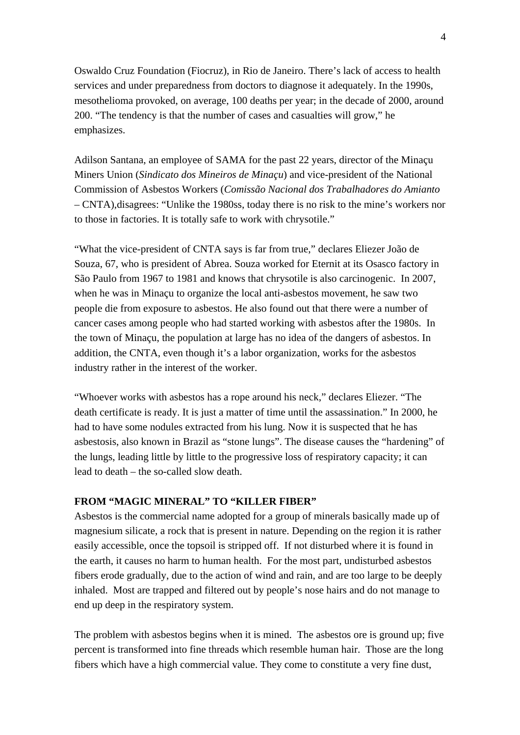Oswaldo Cruz Foundation (Fiocruz), in Rio de Janeiro. There's lack of access to health services and under preparedness from doctors to diagnose it adequately. In the 1990s, mesothelioma provoked, on average, 100 deaths per year; in the decade of 2000, around 200. "The tendency is that the number of cases and casualties will grow," he emphasizes.

Adilson Santana, an employee of SAMA for the past 22 years, director of the Minaçu Miners Union (*Sindicato dos Mineiros de Minaçu*) and vice-president of the National Commission of Asbestos Workers (*Comissão Nacional dos Trabalhadores do Amianto* – CNTA),disagrees: "Unlike the 1980ss, today there is no risk to the mine's workers nor to those in factories. It is totally safe to work with chrysotile."

"What the vice-president of CNTA says is far from true," declares Eliezer João de Souza, 67, who is president of Abrea. Souza worked for Eternit at its Osasco factory in São Paulo from 1967 to 1981 and knows that chrysotile is also carcinogenic. In 2007, when he was in Minaçu to organize the local anti-asbestos movement, he saw two people die from exposure to asbestos. He also found out that there were a number of cancer cases among people who had started working with asbestos after the 1980s. In the town of Minaçu, the population at large has no idea of the dangers of asbestos. In addition, the CNTA, even though it's a labor organization, works for the asbestos industry rather in the interest of the worker.

"Whoever works with asbestos has a rope around his neck," declares Eliezer. "The death certificate is ready. It is just a matter of time until the assassination." In 2000, he had to have some nodules extracted from his lung. Now it is suspected that he has asbestosis, also known in Brazil as "stone lungs". The disease causes the "hardening" of the lungs, leading little by little to the progressive loss of respiratory capacity; it can lead to death – the so-called slow death.

### **FROM "MAGIC MINERAL" TO "KILLER FIBER"**

Asbestos is the commercial name adopted for a group of minerals basically made up of magnesium silicate, a rock that is present in nature. Depending on the region it is rather easily accessible, once the topsoil is stripped off. If not disturbed where it is found in the earth, it causes no harm to human health. For the most part, undisturbed asbestos fibers erode gradually, due to the action of wind and rain, and are too large to be deeply inhaled. Most are trapped and filtered out by people's nose hairs and do not manage to end up deep in the respiratory system.

The problem with asbestos begins when it is mined. The asbestos ore is ground up; five percent is transformed into fine threads which resemble human hair. Those are the long fibers which have a high commercial value. They come to constitute a very fine dust,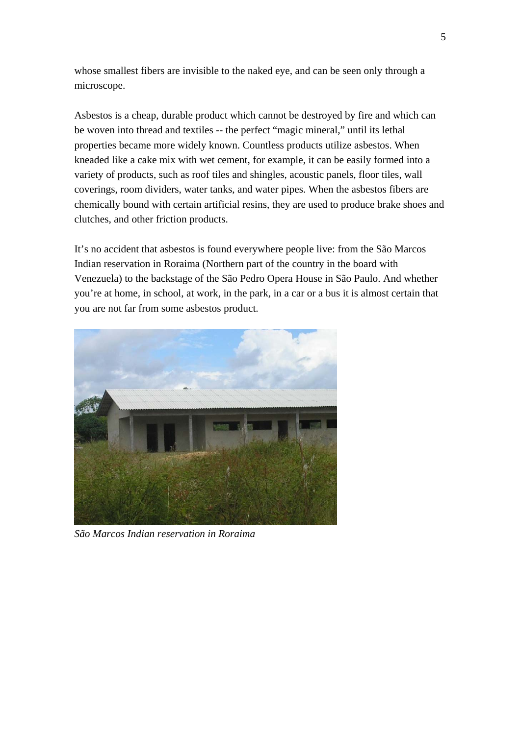whose smallest fibers are invisible to the naked eye, and can be seen only through a microscope.

Asbestos is a cheap, durable product which cannot be destroyed by fire and which can be woven into thread and textiles -- the perfect "magic mineral," until its lethal properties became more widely known. Countless products utilize asbestos. When kneaded like a cake mix with wet cement, for example, it can be easily formed into a variety of products, such as roof tiles and shingles, acoustic panels, floor tiles, wall coverings, room dividers, water tanks, and water pipes. When the asbestos fibers are chemically bound with certain artificial resins, they are used to produce brake shoes and clutches, and other friction products.

It's no accident that asbestos is found everywhere people live: from the São Marcos Indian reservation in Roraima (Northern part of the country in the board with Venezuela) to the backstage of the São Pedro Opera House in São Paulo. And whether you're at home, in school, at work, in the park, in a car or a bus it is almost certain that you are not far from some asbestos product.



*São Marcos Indian reservation in Roraima*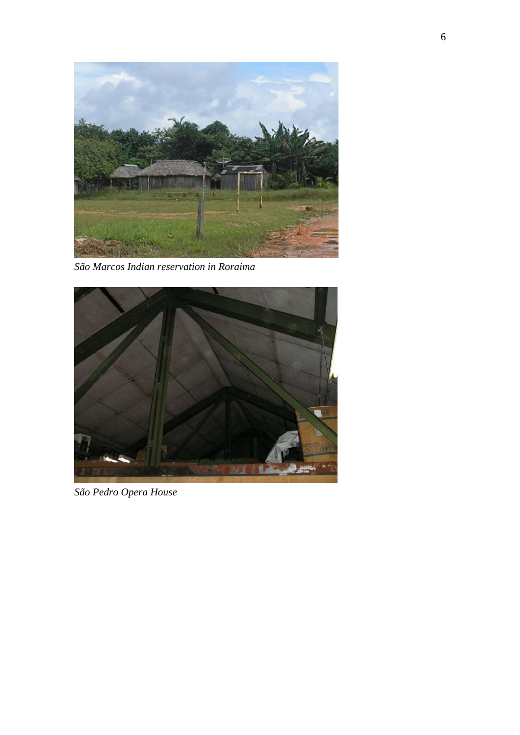

*São Marcos Indian reservation in Roraima* 



*São Pedro Opera House*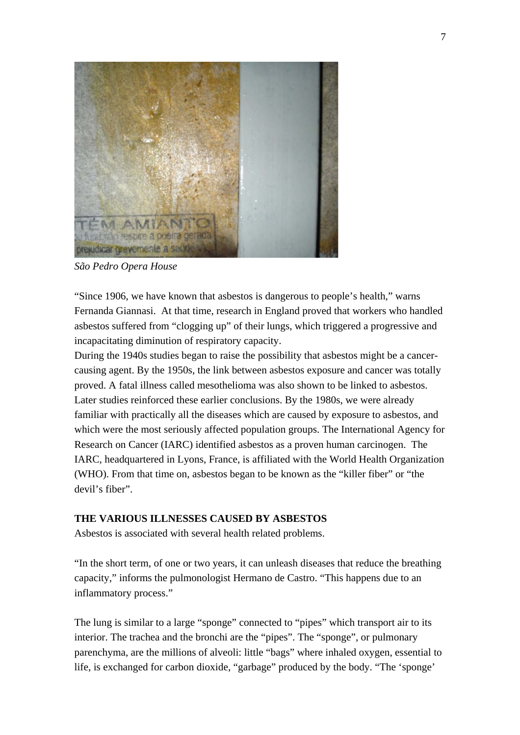

*São Pedro Opera House* 

"Since 1906, we have known that asbestos is dangerous to people's health," warns Fernanda Giannasi. At that time, research in England proved that workers who handled asbestos suffered from "clogging up" of their lungs, which triggered a progressive and incapacitating diminution of respiratory capacity.

During the 1940s studies began to raise the possibility that asbestos might be a cancercausing agent. By the 1950s, the link between asbestos exposure and cancer was totally proved. A fatal illness called mesothelioma was also shown to be linked to asbestos. Later studies reinforced these earlier conclusions. By the 1980s, we were already familiar with practically all the diseases which are caused by exposure to asbestos, and which were the most seriously affected population groups. The International Agency for Research on Cancer (IARC) identified asbestos as a proven human carcinogen. The IARC, headquartered in Lyons, France, is affiliated with the World Health Organization (WHO). From that time on, asbestos began to be known as the "killer fiber" or "the devil's fiber".

# **THE VARIOUS ILLNESSES CAUSED BY ASBESTOS**

Asbestos is associated with several health related problems.

"In the short term, of one or two years, it can unleash diseases that reduce the breathing capacity," informs the pulmonologist Hermano de Castro. "This happens due to an inflammatory process."

The lung is similar to a large "sponge" connected to "pipes" which transport air to its interior. The trachea and the bronchi are the "pipes". The "sponge", or pulmonary parenchyma, are the millions of alveoli: little "bags" where inhaled oxygen, essential to life, is exchanged for carbon dioxide, "garbage" produced by the body. "The 'sponge'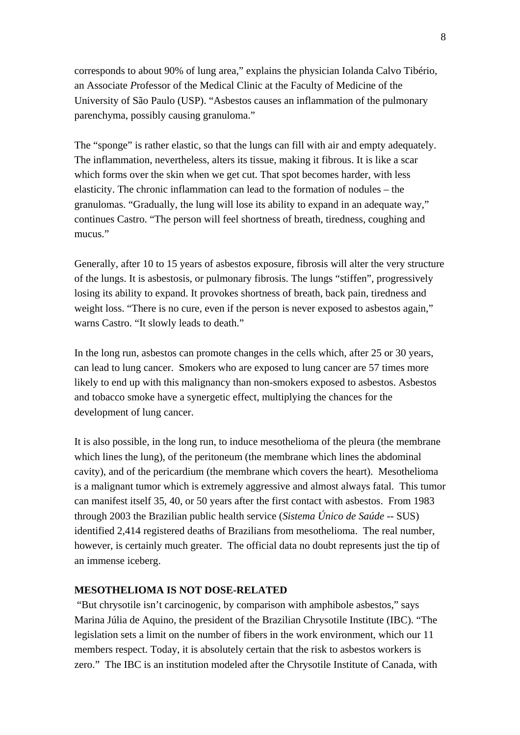corresponds to about 90% of lung area," explains the physician Iolanda Calvo Tibério, an Associate *P*rofessor of the Medical Clinic at the Faculty of Medicine of the University of São Paulo (USP). "Asbestos causes an inflammation of the pulmonary parenchyma, possibly causing granuloma."

The "sponge" is rather elastic, so that the lungs can fill with air and empty adequately. The inflammation, nevertheless, alters its tissue, making it fibrous. It is like a scar which forms over the skin when we get cut. That spot becomes harder, with less elasticity. The chronic inflammation can lead to the formation of nodules – the granulomas. "Gradually, the lung will lose its ability to expand in an adequate way," continues Castro. "The person will feel shortness of breath, tiredness, coughing and mucus."

Generally, after 10 to 15 years of asbestos exposure, fibrosis will alter the very structure of the lungs. It is asbestosis, or pulmonary fibrosis. The lungs "stiffen", progressively losing its ability to expand. It provokes shortness of breath, back pain, tiredness and weight loss. "There is no cure, even if the person is never exposed to asbestos again," warns Castro. "It slowly leads to death."

In the long run, asbestos can promote changes in the cells which, after 25 or 30 years, can lead to lung cancer. Smokers who are exposed to lung cancer are 57 times more likely to end up with this malignancy than non-smokers exposed to asbestos. Asbestos and tobacco smoke have a synergetic effect, multiplying the chances for the development of lung cancer.

It is also possible, in the long run, to induce mesothelioma of the pleura (the membrane which lines the lung), of the peritoneum (the membrane which lines the abdominal cavity), and of the pericardium (the membrane which covers the heart). Mesothelioma is a malignant tumor which is extremely aggressive and almost always fatal. This tumor can manifest itself 35, 40, or 50 years after the first contact with asbestos. From 1983 through 2003 the Brazilian public health service (*Sistema Único de Saúde* -- SUS) identified 2,414 registered deaths of Brazilians from mesothelioma. The real number, however, is certainly much greater. The official data no doubt represents just the tip of an immense iceberg.

### **MESOTHELIOMA IS NOT DOSE-RELATED**

 "But chrysotile isn't carcinogenic, by comparison with amphibole asbestos," says Marina Júlia de Aquino, the president of the Brazilian Chrysotile Institute (IBC). "The legislation sets a limit on the number of fibers in the work environment, which our 11 members respect. Today, it is absolutely certain that the risk to asbestos workers is zero." The IBC is an institution modeled after the Chrysotile Institute of Canada, with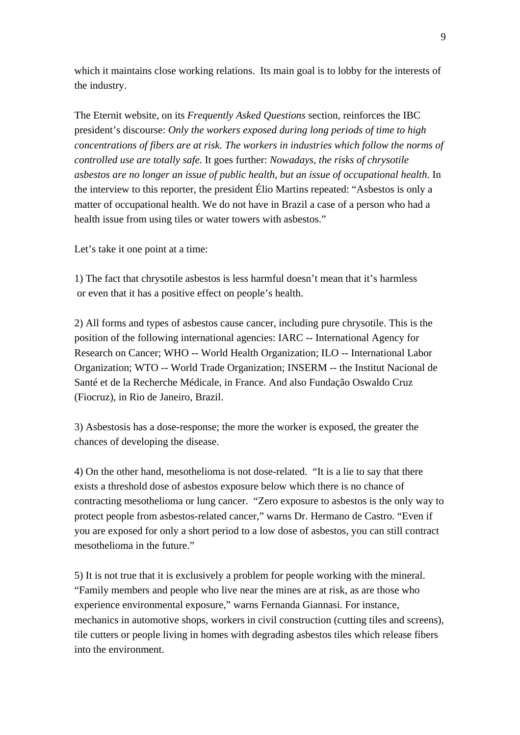which it maintains close working relations. Its main goal is to lobby for the interests of the industry.

The Eternit website, on its *Frequently Asked Questions* section, reinforces the IBC president's discourse: *Only the workers exposed during long periods of time to high concentrations of fibers are at risk. The workers in industries which follow the norms of controlled use are totally safe.* It goes further: *Nowadays, the risks of chrysotile asbestos are no longer an issue of public health, but an issue of occupational health*. In the interview to this reporter, the president Élio Martins repeated: "Asbestos is only a matter of occupational health. We do not have in Brazil a case of a person who had a health issue from using tiles or water towers with asbestos."

Let's take it one point at a time:

1) The fact that chrysotile asbestos is less harmful doesn't mean that it's harmless or even that it has a positive effect on people's health.

2) All forms and types of asbestos cause cancer, including pure chrysotile. This is the position of the following international agencies: IARC -- International Agency for Research on Cancer; WHO -- World Health Organization; ILO -- International Labor Organization; WTO -- World Trade Organization; INSERM -- the Institut Nacional de Santé et de la Recherche Médicale, in France. And also Fundação Oswaldo Cruz (Fiocruz), in Rio de Janeiro, Brazil.

3) Asbestosis has a dose-response; the more the worker is exposed, the greater the chances of developing the disease.

4) On the other hand, mesothelioma is not dose-related. "It is a lie to say that there exists a threshold dose of asbestos exposure below which there is no chance of contracting mesothelioma or lung cancer. "Zero exposure to asbestos is the only way to protect people from asbestos-related cancer," warns Dr. Hermano de Castro. "Even if you are exposed for only a short period to a low dose of asbestos, you can still contract mesothelioma in the future."

5) It is not true that it is exclusively a problem for people working with the mineral. "Family members and people who live near the mines are at risk, as are those who experience environmental exposure," warns Fernanda Giannasi. For instance, mechanics in automotive shops, workers in civil construction (cutting tiles and screens), tile cutters or people living in homes with degrading asbestos tiles which release fibers into the environment.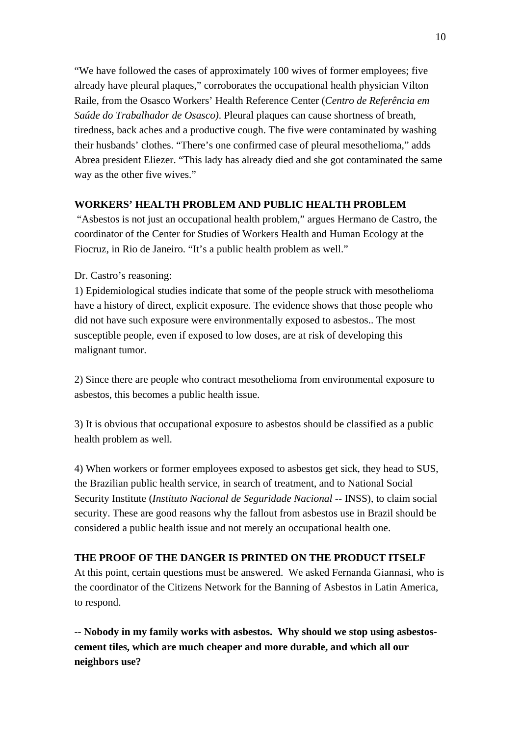"We have followed the cases of approximately 100 wives of former employees; five already have pleural plaques," corroborates the occupational health physician Vilton Raile, from the Osasco Workers' Health Reference Center (*Centro de Referência em Saúde do Trabalhador de Osasco)*. Pleural plaques can cause shortness of breath, tiredness, back aches and a productive cough. The five were contaminated by washing their husbands' clothes. "There's one confirmed case of pleural mesothelioma," adds Abrea president Eliezer. "This lady has already died and she got contaminated the same way as the other five wives."

# **WORKERS' HEALTH PROBLEM AND PUBLIC HEALTH PROBLEM**

 "Asbestos is not just an occupational health problem," argues Hermano de Castro, the coordinator of the Center for Studies of Workers Health and Human Ecology at the Fiocruz, in Rio de Janeiro. "It's a public health problem as well."

## Dr. Castro's reasoning:

1) Epidemiological studies indicate that some of the people struck with mesothelioma have a history of direct, explicit exposure. The evidence shows that those people who did not have such exposure were environmentally exposed to asbestos.. The most susceptible people, even if exposed to low doses, are at risk of developing this malignant tumor.

2) Since there are people who contract mesothelioma from environmental exposure to asbestos, this becomes a public health issue.

3) It is obvious that occupational exposure to asbestos should be classified as a public health problem as well.

4) When workers or former employees exposed to asbestos get sick, they head to SUS, the Brazilian public health service, in search of treatment, and to National Social Security Institute (*Instituto Nacional de Seguridade Nacional* -- INSS), to claim social security. These are good reasons why the fallout from asbestos use in Brazil should be considered a public health issue and not merely an occupational health one.

## **THE PROOF OF THE DANGER IS PRINTED ON THE PRODUCT ITSELF**

At this point, certain questions must be answered. We asked Fernanda Giannasi, who is the coordinator of the Citizens Network for the Banning of Asbestos in Latin America, to respond.

-- **Nobody in my family works with asbestos. Why should we stop using asbestoscement tiles, which are much cheaper and more durable, and which all our neighbors use?**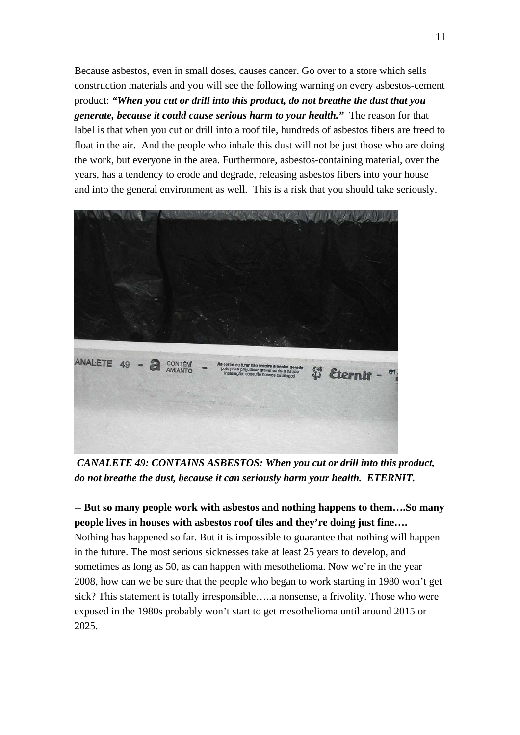Because asbestos, even in small doses, causes cancer. Go over to a store which sells construction materials and you will see the following warning on every asbestos-cement product: *"When you cut or drill into this product, do not breathe the dust that you generate, because it could cause serious harm to your health."* The reason for that label is that when you cut or drill into a roof tile, hundreds of asbestos fibers are freed to float in the air. And the people who inhale this dust will not be just those who are doing the work, but everyone in the area. Furthermore, asbestos-containing material, over the years, has a tendency to erode and degrade, releasing asbestos fibers into your house and into the general environment as well. This is a risk that you should take seriously.



 *CANALETE 49: CONTAINS ASBESTOS: When you cut or drill into this product, do not breathe the dust, because it can seriously harm your health. ETERNIT.* 

-- **But so many people work with asbestos and nothing happens to them….So many people lives in houses with asbestos roof tiles and they're doing just fine….**  Nothing has happened so far. But it is impossible to guarantee that nothing will happen in the future. The most serious sicknesses take at least 25 years to develop, and sometimes as long as 50, as can happen with mesothelioma. Now we're in the year 2008, how can we be sure that the people who began to work starting in 1980 won't get sick? This statement is totally irresponsible…..a nonsense, a frivolity. Those who were exposed in the 1980s probably won't start to get mesothelioma until around 2015 or 2025.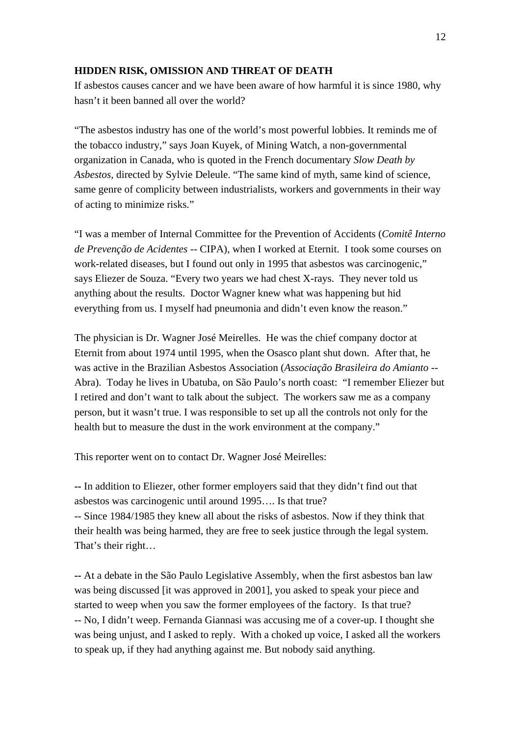#### **HIDDEN RISK, OMISSION AND THREAT OF DEATH**

If asbestos causes cancer and we have been aware of how harmful it is since 1980, why hasn't it been banned all over the world?

"The asbestos industry has one of the world's most powerful lobbies. It reminds me of the tobacco industry," says Joan Kuyek, of Mining Watch, a non-governmental organization in Canada, who is quoted in the French documentary *Slow Death by Asbestos,* directed by Sylvie Deleule. "The same kind of myth, same kind of science, same genre of complicity between industrialists, workers and governments in their way of acting to minimize risks."

"I was a member of Internal Committee for the Prevention of Accidents (*Comitê Interno de Prevenção de Acidentes* -- CIPA), when I worked at Eternit. I took some courses on work-related diseases, but I found out only in 1995 that asbestos was carcinogenic," says Eliezer de Souza. "Every two years we had chest X-rays. They never told us anything about the results. Doctor Wagner knew what was happening but hid everything from us. I myself had pneumonia and didn't even know the reason."

The physician is Dr. Wagner José Meirelles. He was the chief company doctor at Eternit from about 1974 until 1995, when the Osasco plant shut down. After that, he was active in the Brazilian Asbestos Association (*Associação Brasileira do Amianto* -- Abra). Today he lives in Ubatuba, on São Paulo's north coast: "I remember Eliezer but I retired and don't want to talk about the subject. The workers saw me as a company person, but it wasn't true. I was responsible to set up all the controls not only for the health but to measure the dust in the work environment at the company."

This reporter went on to contact Dr. Wagner José Meirelles:

**--** In addition to Eliezer, other former employers said that they didn't find out that asbestos was carcinogenic until around 1995…. Is that true? -- Since 1984/1985 they knew all about the risks of asbestos. Now if they think that their health was being harmed, they are free to seek justice through the legal system. That's their right…

**--** At a debate in the São Paulo Legislative Assembly, when the first asbestos ban law was being discussed [it was approved in 2001], you asked to speak your piece and started to weep when you saw the former employees of the factory. Is that true? -- No, I didn't weep. Fernanda Giannasi was accusing me of a cover-up. I thought she was being unjust, and I asked to reply. With a choked up voice, I asked all the workers to speak up, if they had anything against me. But nobody said anything.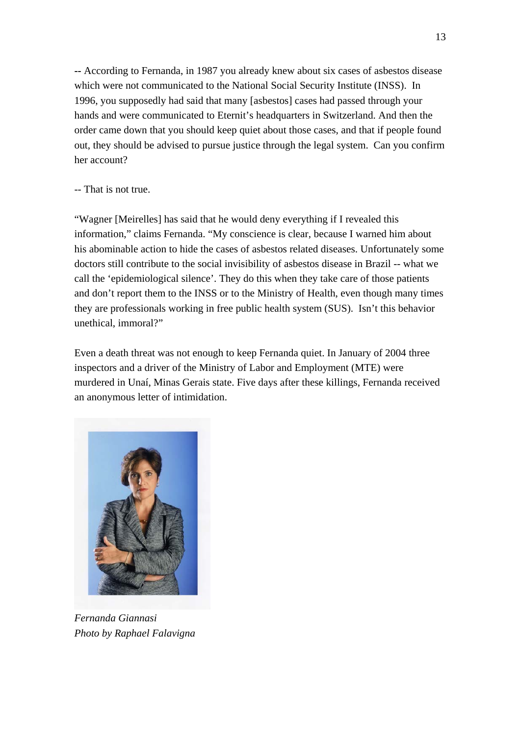**--** According to Fernanda, in 1987 you already knew about six cases of asbestos disease which were not communicated to the National Social Security Institute (INSS). In 1996, you supposedly had said that many [asbestos] cases had passed through your hands and were communicated to Eternit's headquarters in Switzerland. And then the order came down that you should keep quiet about those cases, and that if people found out, they should be advised to pursue justice through the legal system. Can you confirm her account?

# -- That is not true.

"Wagner [Meirelles] has said that he would deny everything if I revealed this information," claims Fernanda. "My conscience is clear, because I warned him about his abominable action to hide the cases of asbestos related diseases. Unfortunately some doctors still contribute to the social invisibility of asbestos disease in Brazil -- what we call the 'epidemiological silence'. They do this when they take care of those patients and don't report them to the INSS or to the Ministry of Health, even though many times they are professionals working in free public health system (SUS). Isn't this behavior unethical, immoral?"

Even a death threat was not enough to keep Fernanda quiet. In January of 2004 three inspectors and a driver of the Ministry of Labor and Employment (MTE) were murdered in Unaí, Minas Gerais state. Five days after these killings, Fernanda received an anonymous letter of intimidation.



*Fernanda Giannasi Photo by Raphael Falavigna*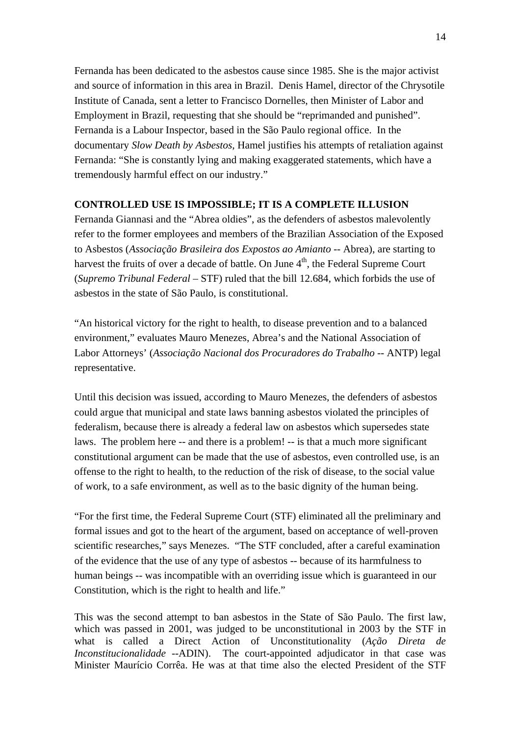Fernanda has been dedicated to the asbestos cause since 1985. She is the major activist and source of information in this area in Brazil. Denis Hamel, director of the Chrysotile Institute of Canada, sent a letter to Francisco Dornelles, then Minister of Labor and Employment in Brazil, requesting that she should be "reprimanded and punished". Fernanda is a Labour Inspector, based in the São Paulo regional office. In the documentary *Slow Death by Asbestos*, Hamel justifies his attempts of retaliation against Fernanda: "She is constantly lying and making exaggerated statements, which have a tremendously harmful effect on our industry."

# **CONTROLLED USE IS IMPOSSIBLE; IT IS A COMPLETE ILLUSION**

Fernanda Giannasi and the "Abrea oldies", as the defenders of asbestos malevolently refer to the former employees and members of the Brazilian Association of the Exposed to Asbestos (*Associação Brasileira dos Expostos ao Amianto* -- Abrea), are starting to harvest the fruits of over a decade of battle. On June  $4<sup>th</sup>$ , the Federal Supreme Court (*Supremo Tribunal Federal –* STF) ruled that the bill 12.684, which forbids the use of asbestos in the state of São Paulo, is constitutional.

"An historical victory for the right to health, to disease prevention and to a balanced environment," evaluates Mauro Menezes, Abrea's and the National Association of Labor Attorneys' (*Associação Nacional dos Procuradores do Trabalho* -- ANTP) legal representative.

Until this decision was issued, according to Mauro Menezes, the defenders of asbestos could argue that municipal and state laws banning asbestos violated the principles of federalism, because there is already a federal law on asbestos which supersedes state laws. The problem here -- and there is a problem! -- is that a much more significant constitutional argument can be made that the use of asbestos, even controlled use, is an offense to the right to health, to the reduction of the risk of disease, to the social value of work, to a safe environment, as well as to the basic dignity of the human being.

"For the first time, the Federal Supreme Court (STF) eliminated all the preliminary and formal issues and got to the heart of the argument, based on acceptance of well-proven scientific researches," says Menezes. "The STF concluded, after a careful examination of the evidence that the use of any type of asbestos -- because of its harmfulness to human beings -- was incompatible with an overriding issue which is guaranteed in our Constitution, which is the right to health and life."

This was the second attempt to ban asbestos in the State of São Paulo. The first law, which was passed in 2001, was judged to be unconstitutional in 2003 by the STF in what is called a Direct Action of Unconstitutionality (*Ação Direta de Inconstitucionalidade* --ADIN). The court-appointed adjudicator in that case was Minister Maurício Corrêa. He was at that time also the elected President of the STF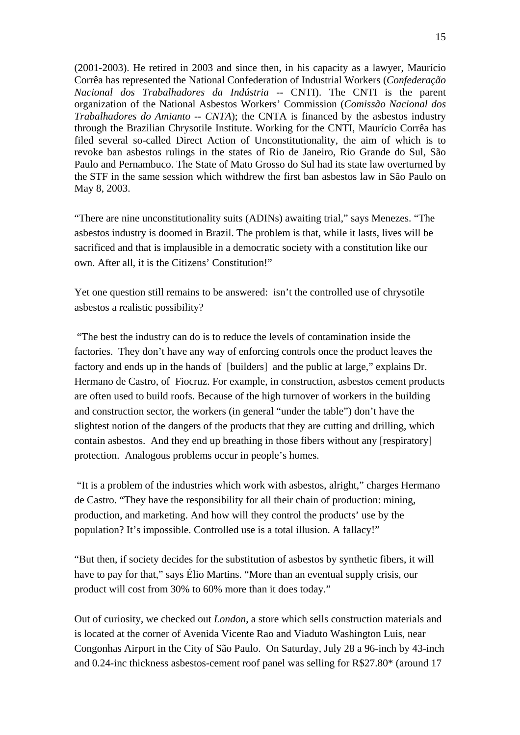(2001-2003). He retired in 2003 and since then, in his capacity as a lawyer, Maurício Corrêa has represented the National Confederation of Industrial Workers (*Confederação Nacional dos Trabalhadores da Indústria* -- CNTI). The CNTI is the parent organization of the National Asbestos Workers' Commission (*Comissão Nacional dos Trabalhadores do Amianto* -- *CNTA*); the CNTA is financed by the asbestos industry through the Brazilian Chrysotile Institute. Working for the CNTI, Maurício Corrêa has filed several so-called Direct Action of Unconstitutionality, the aim of which is to revoke ban asbestos rulings in the states of Rio de Janeiro, Rio Grande do Sul, São Paulo and Pernambuco. The State of Mato Grosso do Sul had its state law overturned by the STF in the same session which withdrew the first ban asbestos law in São Paulo on May 8, 2003.

"There are nine unconstitutionality suits (ADINs) awaiting trial," says Menezes. "The asbestos industry is doomed in Brazil. The problem is that, while it lasts, lives will be sacrificed and that is implausible in a democratic society with a constitution like our own. After all, it is the Citizens' Constitution!"

Yet one question still remains to be answered: isn't the controlled use of chrysotile asbestos a realistic possibility?

 "The best the industry can do is to reduce the levels of contamination inside the factories. They don't have any way of enforcing controls once the product leaves the factory and ends up in the hands of [builders] and the public at large," explains Dr. Hermano de Castro, of Fiocruz. For example, in construction, asbestos cement products are often used to build roofs. Because of the high turnover of workers in the building and construction sector, the workers (in general "under the table") don't have the slightest notion of the dangers of the products that they are cutting and drilling, which contain asbestos. And they end up breathing in those fibers without any [respiratory] protection. Analogous problems occur in people's homes.

 "It is a problem of the industries which work with asbestos, alright," charges Hermano de Castro. "They have the responsibility for all their chain of production: mining, production, and marketing. And how will they control the products' use by the population? It's impossible. Controlled use is a total illusion. A fallacy!"

"But then, if society decides for the substitution of asbestos by synthetic fibers, it will have to pay for that," says Élio Martins. "More than an eventual supply crisis, our product will cost from 30% to 60% more than it does today."

Out of curiosity, we checked out *London*, a store which sells construction materials and is located at the corner of Avenida Vicente Rao and Viaduto Washington Luis, near Congonhas Airport in the City of São Paulo. On Saturday, July 28 a 96-inch by 43-inch and 0.24-inc thickness asbestos-cement roof panel was selling for R\$27.80\* (around 17